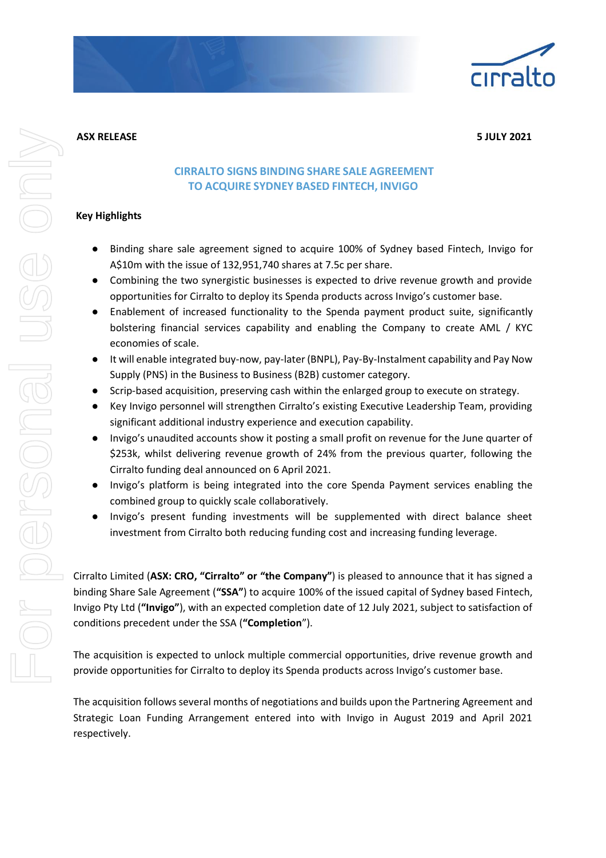

**ASX RELEASE 5 JULY 2021**

# **CIRRALTO SIGNS BINDING SHARE SALE AGREEMENT TO ACQUIRE SYDNEY BASED FINTECH, INVIGO**

## **Key Highlights**

- Binding share sale agreement signed to acquire 100% of Sydney based Fintech, Invigo for A\$10m with the issue of 132,951,740 shares at 7.5c per share.
- Combining the two synergistic businesses is expected to drive revenue growth and provide opportunities for Cirralto to deploy its Spenda products across Invigo's customer base.
- Enablement of increased functionality to the Spenda payment product suite, significantly bolstering financial services capability and enabling the Company to create AML / KYC economies of scale.
- It will enable integrated buy-now, pay-later (BNPL), Pay-By-Instalment capability and Pay Now Supply (PNS) in the Business to Business (B2B) customer category.
- Scrip-based acquisition, preserving cash within the enlarged group to execute on strategy.
- Key Invigo personnel will strengthen Cirralto's existing Executive Leadership Team, providing significant additional industry experience and execution capability.
- Invigo's unaudited accounts show it posting a small profit on revenue for the June quarter of \$253k, whilst delivering revenue growth of 24% from the previous quarter, following the Cirralto funding deal announced on 6 April 2021.
- Invigo's platform is being integrated into the core Spenda Payment services enabling the combined group to quickly scale collaboratively.
- Invigo's present funding investments will be supplemented with direct balance sheet investment from Cirralto both reducing funding cost and increasing funding leverage.

Cirralto Limited (**ASX: CRO, "Cirralto" or "the Company"**) is pleased to announce that it has signed a binding Share Sale Agreement (**"SSA"**) to acquire 100% of the issued capital of Sydney based Fintech, Invigo Pty Ltd (**"Invigo"**), with an expected completion date of 12 July 2021, subject to satisfaction of conditions precedent under the SSA (**"Completion**").

The acquisition is expected to unlock multiple commercial opportunities, drive revenue growth and provide opportunities for Cirralto to deploy its Spenda products across Invigo's customer base.

The acquisition follows several months of negotiations and builds upon the Partnering Agreement and Strategic Loan Funding Arrangement entered into with Invigo in August 2019 and April 2021 respectively.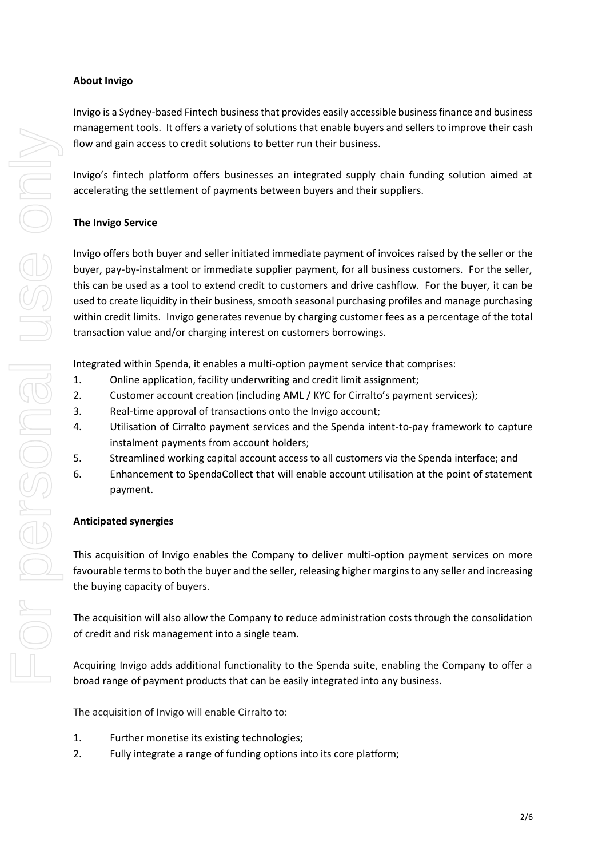## **About Invigo**

Invigo is a Sydney-based Fintech business that provides easily accessible business finance and business management tools. It offers a variety of solutions that enable buyers and sellers to improve their cash flow and gain access to credit solutions to better run their business.

Invigo's fintech platform offers businesses an integrated supply chain funding solution aimed at accelerating the settlement of payments between buyers and their suppliers.

# **The Invigo Service**

Invigo offers both buyer and seller initiated immediate payment of invoices raised by the seller or the buyer, pay-by-instalment or immediate supplier payment, for all business customers. For the seller, this can be used as a tool to extend credit to customers and drive cashflow. For the buyer, it can be used to create liquidity in their business, smooth seasonal purchasing profiles and manage purchasing within credit limits. Invigo generates revenue by charging customer fees as a percentage of the total transaction value and/or charging interest on customers borrowings.

Integrated within Spenda, it enables a multi-option payment service that comprises:

- 1. Online application, facility underwriting and credit limit assignment;
- 2. Customer account creation (including AML / KYC for Cirralto's payment services);
- 3. Real-time approval of transactions onto the Invigo account;
- 4. Utilisation of Cirralto payment services and the Spenda intent-to-pay framework to capture instalment payments from account holders;
- 5. Streamlined working capital account access to all customers via the Spenda interface; and
- 6. Enhancement to SpendaCollect that will enable account utilisation at the point of statement payment.

## **Anticipated synergies**

This acquisition of Invigo enables the Company to deliver multi-option payment services on more favourable terms to both the buyer and the seller, releasing higher margins to any seller and increasing the buying capacity of buyers.

The acquisition will also allow the Company to reduce administration costs through the consolidation of credit and risk management into a single team.

Acquiring Invigo adds additional functionality to the Spenda suite, enabling the Company to offer a broad range of payment products that can be easily integrated into any business.

The acquisition of Invigo will enable Cirralto to:

- 1. Further monetise its existing technologies;
- 2. Fully integrate a range of funding options into its core platform;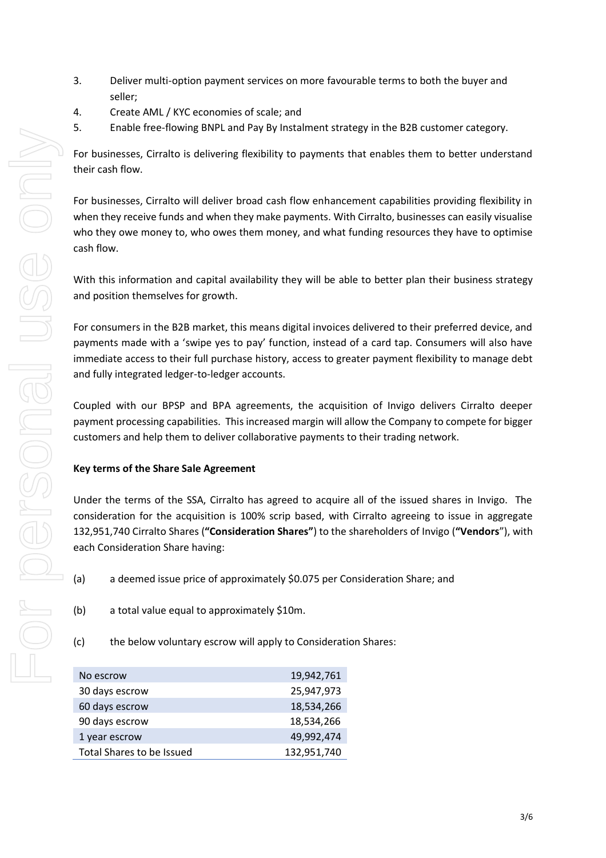- 3. Deliver multi-option payment services on more favourable terms to both the buyer and seller;
- 4. Create AML / KYC economies of scale; and
- 5. Enable free-flowing BNPL and Pay By Instalment strategy in the B2B customer category.

For businesses, Cirralto is delivering flexibility to payments that enables them to better understand their cash flow.

For businesses, Cirralto will deliver broad cash flow enhancement capabilities providing flexibility in when they receive funds and when they make payments. With Cirralto, businesses can easily visualise who they owe money to, who owes them money, and what funding resources they have to optimise cash flow.

With this information and capital availability they will be able to better plan their business strategy and position themselves for growth.

For consumers in the B2B market, this means digital invoices delivered to their preferred device, and payments made with a 'swipe yes to pay' function, instead of a card tap. Consumers will also have immediate access to their full purchase history, access to greater payment flexibility to manage debt and fully integrated ledger-to-ledger accounts.

Coupled with our BPSP and BPA agreements, the acquisition of Invigo delivers Cirralto deeper payment processing capabilities. This increased margin will allow the Company to compete for bigger customers and help them to deliver collaborative payments to their trading network.

## **Key terms of the Share Sale Agreement**

Under the terms of the SSA, Cirralto has agreed to acquire all of the issued shares in Invigo. The consideration for the acquisition is 100% scrip based, with Cirralto agreeing to issue in aggregate 132,951,740 Cirralto Shares (**"Consideration Shares"**) to the shareholders of Invigo (**"Vendors**"), with each Consideration Share having:

- (a) a deemed issue price of approximately \$0.075 per Consideration Share; and
- (b) a total value equal to approximately \$10m.
- (c) the below voluntary escrow will apply to Consideration Shares:

| No escrow                 | 19,942,761  |
|---------------------------|-------------|
| 30 days escrow            | 25,947,973  |
| 60 days escrow            | 18,534,266  |
| 90 days escrow            | 18,534,266  |
| 1 year escrow             | 49,992,474  |
| Total Shares to be Issued | 132,951,740 |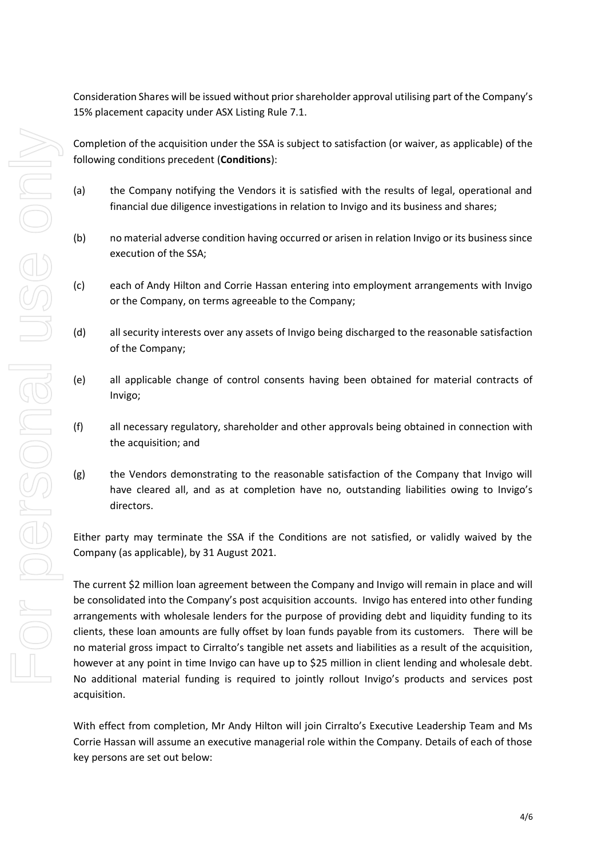Consideration Shares will be issued without prior shareholder approval utilising part of the Company's 15% placement capacity under ASX Listing Rule 7.1.

Completion of the acquisition under the SSA is subject to satisfaction (or waiver, as applicable) of the following conditions precedent (**Conditions**):

- (a) the Company notifying the Vendors it is satisfied with the results of legal, operational and financial due diligence investigations in relation to Invigo and its business and shares;
- (b) no material adverse condition having occurred or arisen in relation Invigo or its business since execution of the SSA;
- (c) each of Andy Hilton and Corrie Hassan entering into employment arrangements with Invigo or the Company, on terms agreeable to the Company;
- (d) all security interests over any assets of Invigo being discharged to the reasonable satisfaction of the Company;
- (e) all applicable change of control consents having been obtained for material contracts of Invigo;
- (f) all necessary regulatory, shareholder and other approvals being obtained in connection with the acquisition; and
- (g) the Vendors demonstrating to the reasonable satisfaction of the Company that Invigo will have cleared all, and as at completion have no, outstanding liabilities owing to Invigo's directors.

Either party may terminate the SSA if the Conditions are not satisfied, or validly waived by the Company (as applicable), by 31 August 2021.

The current \$2 million loan agreement between the Company and Invigo will remain in place and will be consolidated into the Company's post acquisition accounts. Invigo has entered into other funding arrangements with wholesale lenders for the purpose of providing debt and liquidity funding to its clients, these loan amounts are fully offset by loan funds payable from its customers. There will be no material gross impact to Cirralto's tangible net assets and liabilities as a result of the acquisition, however at any point in time Invigo can have up to \$25 million in client lending and wholesale debt. No additional material funding is required to jointly rollout Invigo's products and services post acquisition.

With effect from completion, Mr Andy Hilton will join Cirralto's Executive Leadership Team and Ms Corrie Hassan will assume an executive managerial role within the Company. Details of each of those key persons are set out below: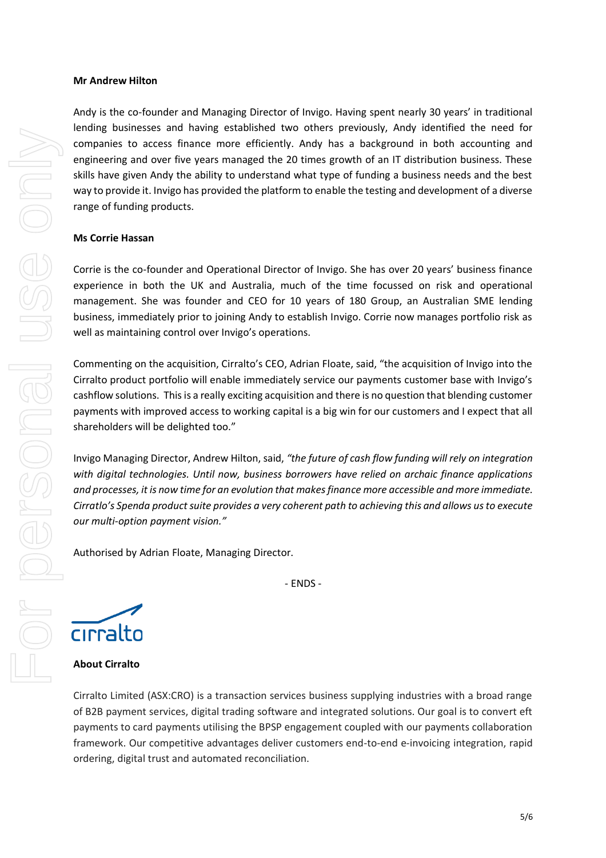#### **Mr Andrew Hilton**

Andy is the co-founder and Managing Director of Invigo. Having spent nearly 30 years' in traditional lending businesses and having established two others previously, Andy identified the need for companies to access finance more efficiently. Andy has a background in both accounting and engineering and over five years managed the 20 times growth of an IT distribution business. These skills have given Andy the ability to understand what type of funding a business needs and the best way to provide it. Invigo has provided the platform to enable the testing and development of a diverse range of funding products.

### **Ms Corrie Hassan**

Corrie is the co-founder and Operational Director of Invigo. She has over 20 years' business finance experience in both the UK and Australia, much of the time focussed on risk and operational management. She was founder and CEO for 10 years of 180 Group, an Australian SME lending business, immediately prior to joining Andy to establish Invigo. Corrie now manages portfolio risk as well as maintaining control over Invigo's operations.

Commenting on the acquisition, Cirralto's CEO, Adrian Floate, said, "the acquisition of Invigo into the Cirralto product portfolio will enable immediately service our payments customer base with Invigo's cashflow solutions. This is a really exciting acquisition and there is no question that blending customer payments with improved access to working capital is a big win for our customers and I expect that all shareholders will be delighted too."

Invigo Managing Director, Andrew Hilton, said, *"the future of cash flow funding will rely on integration with digital technologies. Until now, business borrowers have relied on archaic finance applications and processes, it is now time for an evolution that makes finance more accessible and more immediate. Cirratlo's Spenda product suite provides a very coherent path to achieving this and allows us to execute our multi-option payment vision."*

- ENDS -

Authorised by Adrian Floate, Managing Director.

cirralto

**About Cirralto**

Cirralto Limited (ASX:CRO) is a transaction services business supplying industries with a broad range of B2B payment services, digital trading software and integrated solutions. Our goal is to convert eft payments to card payments utilising the BPSP engagement coupled with our payments collaboration framework. Our competitive advantages deliver customers end-to-end e-invoicing integration, rapid ordering, digital trust and automated reconciliation.